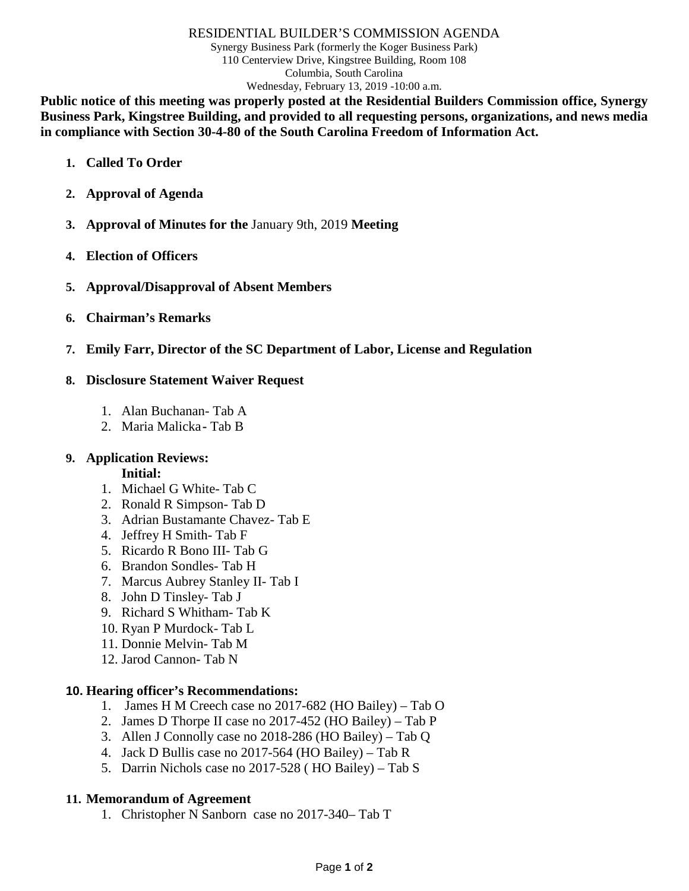#### RESIDENTIAL BUILDER'S COMMISSION AGENDA

Synergy Business Park (formerly the Koger Business Park) 110 Centerview Drive, Kingstree Building, Room 108 Columbia, South Carolina Wednesday, February 13, 2019 -10:00 a.m.

**Public notice of this meeting was properly posted at the Residential Builders Commission office, Synergy Business Park, Kingstree Building, and provided to all requesting persons, organizations, and news media in compliance with Section 30-4-80 of the South Carolina Freedom of Information Act.**

- **1. Called To Order**
- **2. Approval of Agenda**
- **3. Approval of Minutes for the** January 9th, 2019 **Meeting**
- **4. Election of Officers**
- **5. Approval/Disapproval of Absent Members**
- **6. Chairman's Remarks**
- **7. Emily Farr, Director of the SC Department of Labor, License and Regulation**

### **8. Disclosure Statement Waiver Request**

- 1. Alan Buchanan- Tab A
- 2. Maria Malicka**-** Tab B

## **9. Application Reviews:**

### **Initial:**

- 1. Michael G White- Tab C
- 2. Ronald R Simpson- Tab D
- 3. Adrian Bustamante Chavez- Tab E
- 4. Jeffrey H Smith- Tab F
- 5. Ricardo R Bono III- Tab G
- 6. Brandon Sondles- Tab H
- 7. Marcus Aubrey Stanley II- Tab I
- 8. John D Tinsley- Tab J
- 9. Richard S Whitham- Tab K
- 10. Ryan P Murdock- Tab L
- 11. Donnie Melvin- Tab M
- 12. Jarod Cannon- Tab N

### **10. Hearing officer's Recommendations:**

- 1. James H M Creech case no 2017-682 (HO Bailey) Tab O
- 2. James D Thorpe II case no 2017-452 (HO Bailey) Tab P
- 3. Allen J Connolly case no 2018-286 (HO Bailey) Tab Q
- 4. Jack D Bullis case no 2017-564 (HO Bailey) Tab R
- 5. Darrin Nichols case no 2017-528 ( HO Bailey) Tab S

## **11. Memorandum of Agreement**

1. Christopher N Sanborn case no 2017-340– Tab T